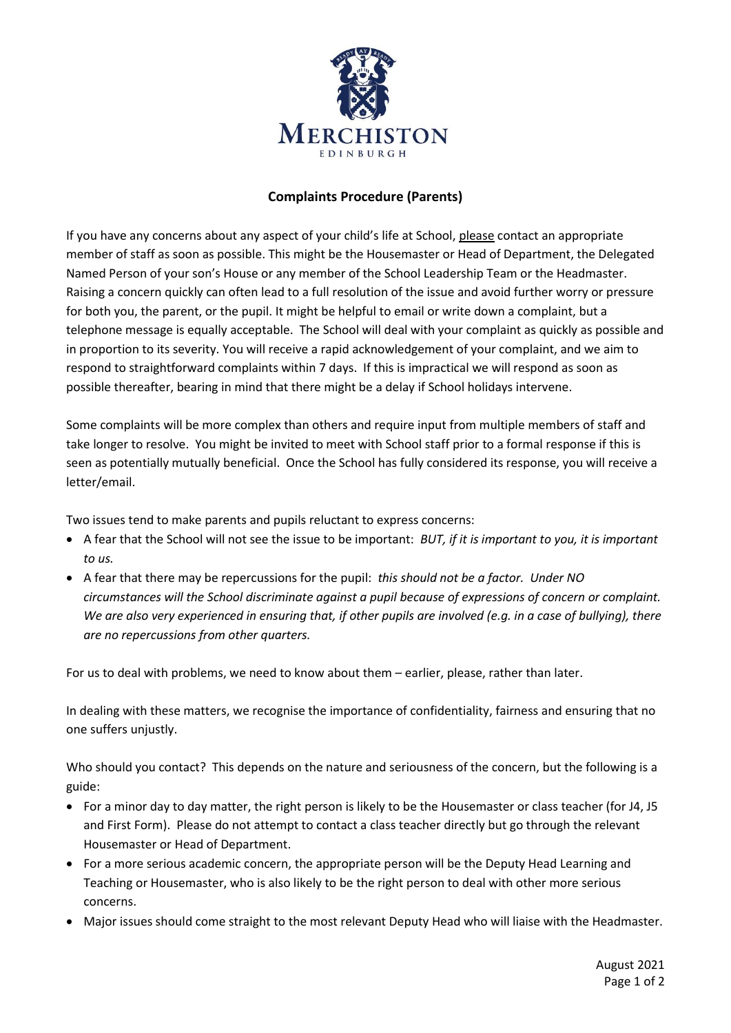

## **Complaints Procedure (Parents)**

If you have any concerns about any aspect of your child's life at School, please contact an appropriate member of staff as soon as possible. This might be the Housemaster or Head of Department, the Delegated Named Person of your son's House or any member of the School Leadership Team or the Headmaster. Raising a concern quickly can often lead to a full resolution of the issue and avoid further worry or pressure for both you, the parent, or the pupil. It might be helpful to email or write down a complaint, but a telephone message is equally acceptable. The School will deal with your complaint as quickly as possible and in proportion to its severity. You will receive a rapid acknowledgement of your complaint, and we aim to respond to straightforward complaints within 7 days. If this is impractical we will respond as soon as possible thereafter, bearing in mind that there might be a delay if School holidays intervene.

Some complaints will be more complex than others and require input from multiple members of staff and take longer to resolve. You might be invited to meet with School staff prior to a formal response if this is seen as potentially mutually beneficial. Once the School has fully considered its response, you will receive a letter/email.

Two issues tend to make parents and pupils reluctant to express concerns:

- A fear that the School will not see the issue to be important: *BUT, if it is important to you, it is important to us.*
- A fear that there may be repercussions for the pupil: *this should not be a factor. Under NO circumstances will the School discriminate against a pupil because of expressions of concern or complaint. We are also very experienced in ensuring that, if other pupils are involved (e.g. in a case of bullying), there are no repercussions from other quarters.*

For us to deal with problems, we need to know about them – earlier, please, rather than later.

In dealing with these matters, we recognise the importance of confidentiality, fairness and ensuring that no one suffers unjustly.

Who should you contact? This depends on the nature and seriousness of the concern, but the following is a guide:

- For a minor day to day matter, the right person is likely to be the Housemaster or class teacher (for J4, J5 and First Form). Please do not attempt to contact a class teacher directly but go through the relevant Housemaster or Head of Department.
- For a more serious academic concern, the appropriate person will be the Deputy Head Learning and Teaching or Housemaster, who is also likely to be the right person to deal with other more serious concerns.
- Major issues should come straight to the most relevant Deputy Head who will liaise with the Headmaster.